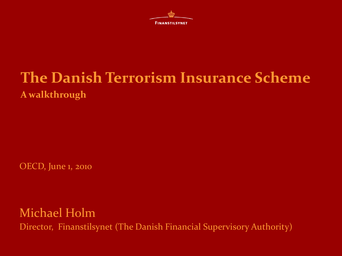

# **The Danish Terrorism Insurance Scheme A walkthrough**

OECD, June 1, 2010

Michael Holm Director, Finanstilsynet (The Danish Financial Supervisory Authority)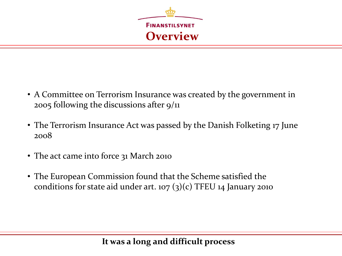

- A Committee on Terrorism Insurance was created by the government in 2005 following the discussions after 9/11
- The Terrorism Insurance Act was passed by the Danish Folketing 17 June 2008
- The act came into force 31 March 2010
- The European Commission found that the Scheme satisfied the conditions for state aid under art. 107  $(3)(c)$  TFEU 14 January 2010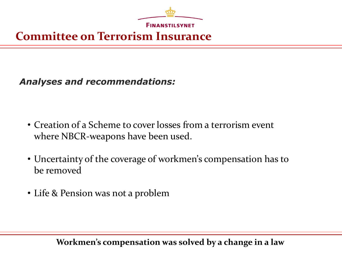

## **Committee on Terrorism Insurance**

*Analyses and recommendations:*

- Creation of a Scheme to cover losses from a terrorism event where NBCR-weapons have been used.
- Uncertainty of the coverage of workmen's compensation has to be removed
- Life & Pension was not a problem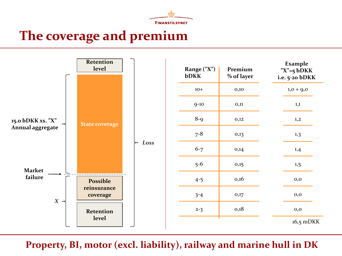

## **The coverage and premium**



**Property, BI, motor (excl. liability), railway and marine hull in DK**